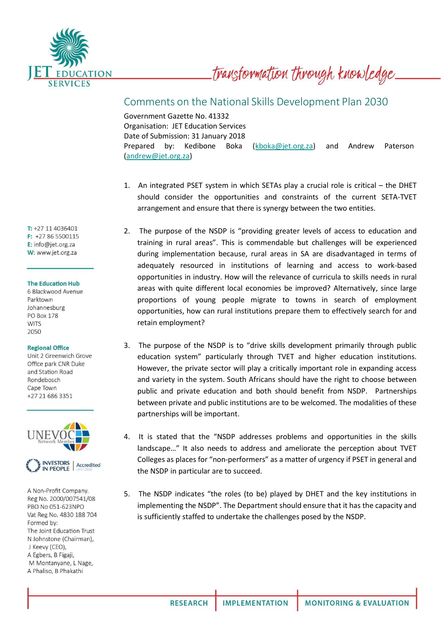

transformation through knowledge.

## Comments on the National Skills Development Plan 2030

Government Gazette No. 41332 Organisation: JET Education Services Date of Submission: 31 January 2018 Prepared by: Kedibone Boka [\(kboka@jet.org.za\)](mailto:kboka@jet.org.za) and Andrew Paterson [\(andrew@jet.org.za\)](mailto:andrew@jet.org.za)

- 1. An integrated PSET system in which SETAs play a crucial role is critical the DHET should consider the opportunities and constraints of the current SETA-TVET arrangement and ensure that there is synergy between the two entities.
- 2. The purpose of the NSDP is "providing greater levels of access to education and training in rural areas". This is commendable but challenges will be experienced during implementation because, rural areas in SA are disadvantaged in terms of adequately resourced in institutions of learning and access to work-based opportunities in industry. How will the relevance of curricula to skills needs in rural areas with quite different local economies be improved? Alternatively, since large proportions of young people migrate to towns in search of employment opportunities, how can rural institutions prepare them to effectively search for and retain employment?
- 3. The purpose of the NSDP is to "drive skills development primarily through public education system" particularly through TVET and higher education institutions. However, the private sector will play a critically important role in expanding access and variety in the system. South Africans should have the right to choose between public and private education and both should benefit from NSDP. Partnerships between private and public institutions are to be welcomed. The modalities of these partnerships will be important.
- 4. It is stated that the "NSDP addresses problems and opportunities in the skills landscape…" It also needs to address and ameliorate the perception about TVET Colleges as places for "non-performers" as a matter of urgency if PSET in general and the NSDP in particular are to succeed.
- 5. The NSDP indicates "the roles (to be) played by DHET and the key institutions in implementing the NSDP". The Department should ensure that it has the capacity and is sufficiently staffed to undertake the challenges posed by the NSDP.

T: +27 11 4036401 F: +27 86 5500115 E: info@jet.org.za W: www.jet.org.za

## **The Education Hub**

6 Blackwood Avenue Parktown Johannesburg **PO Box 178 WITS** 2050

## **Regional Office**

Unit 2 Greenwich Grove Office park CNR Duke and Station Road Rondebosch Cape Town +27 21 686 3351



A Non-Profit Company. Reg No. 2000/007541/08 PBO No 051-623NPO Vat Reg No. 4830 188 704 Formed by: The Joint Education Trust N Johnstone (Chairman), J Keevy (CEO), A Egbers, B Figaji, M Montanyane, L Nage, A Phaliso, B Phakathi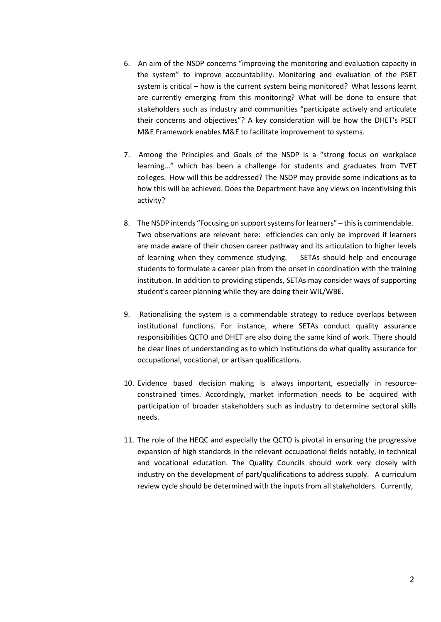- 6. An aim of the NSDP concerns "improving the monitoring and evaluation capacity in the system" to improve accountability. Monitoring and evaluation of the PSET system is critical – how is the current system being monitored? What lessons learnt are currently emerging from this monitoring? What will be done to ensure that stakeholders such as industry and communities "participate actively and articulate their concerns and objectives"? A key consideration will be how the DHET's PSET M&E Framework enables M&E to facilitate improvement to systems.
- 7. Among the Principles and Goals of the NSDP is a "strong focus on workplace learning..." which has been a challenge for students and graduates from TVET colleges. How will this be addressed? The NSDP may provide some indications as to how this will be achieved. Does the Department have any views on incentivising this activity?
- 8. The NSDP intends "Focusing on support systems for learners" this is commendable. Two observations are relevant here: efficiencies can only be improved if learners are made aware of their chosen career pathway and its articulation to higher levels of learning when they commence studying. SETAs should help and encourage students to formulate a career plan from the onset in coordination with the training institution. In addition to providing stipends, SETAs may consider ways of supporting student's career planning while they are doing their WIL/WBE.
- 9. Rationalising the system is a commendable strategy to reduce overlaps between institutional functions. For instance, where SETAs conduct quality assurance responsibilities QCTO and DHET are also doing the same kind of work. There should be clear lines of understanding as to which institutions do what quality assurance for occupational, vocational, or artisan qualifications.
- 10. Evidence based decision making is always important, especially in resourceconstrained times. Accordingly, market information needs to be acquired with participation of broader stakeholders such as industry to determine sectoral skills needs.
- 11. The role of the HEQC and especially the QCTO is pivotal in ensuring the progressive expansion of high standards in the relevant occupational fields notably, in technical and vocational education. The Quality Councils should work very closely with industry on the development of part/qualifications to address supply. A curriculum review cycle should be determined with the inputs from all stakeholders. Currently,